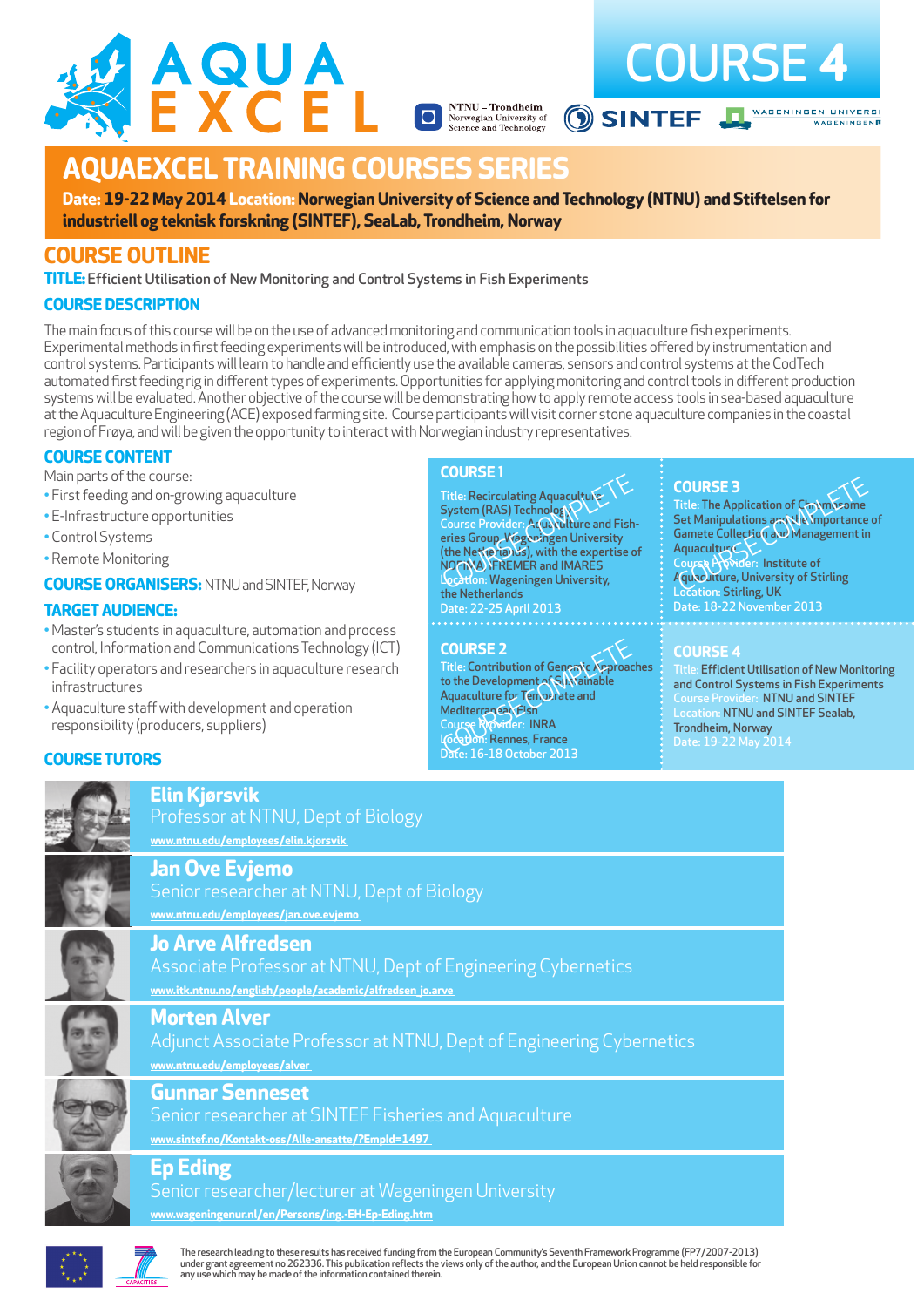



# **AQUAEXCEL TRAINING COURSES SERIES**

**Date: 19-22 May 2014 Location: Norwegian University of Science and Technology (NTNU) and Stiftelsen for industriell og teknisk forskning (SINTEF), SeaLab, Trondheim, Norway**

**NTNU – Trondheim**<br>Norwegian University of<br>Science and Technology

# **COURSE OUTLINE**

**TITLE:**Efficient Utilisation of New Monitoring and Control Systems in Fish Experiments

#### **COURSE DESCRIPTION**

The main focus of this course will be on the use of advanced monitoring and communication tools in aquaculture fish experiments. Experimental methods in first feeding experiments will be introduced, with emphasis on the possibilities offered by instrumentation and control systems. Participants will learn to handle and efficiently use the available cameras, sensors and control systems at the CodTech automated first feeding rig in different types of experiments. Opportunities for applying monitoring and control tools in different production systems will be evaluated. Another objective of the course will be demonstrating how to apply remote access tools in sea-based aquaculture at the Aquaculture Engineering (ACE) exposed farming site. Course participants will visit corner stone aquaculture companies in the coastal region of Frøya, and will be given the opportunity to interact with Norwegian industry representatives.

#### **COURSE CONTENT**

Main parts of the course:

- First feeding and on-growing aquaculture
- E-Infrastructure opportunities
- Control Systems
- Remote Monitoring

**COURSE ORGANISERS:** NTNU and SINTEF, Norway

#### **TARGET AUDIENCE:**

- Master's students in aquaculture, automation and process control, Information and Communications Technology (ICT)
- Facility operators and researchers in aquaculture research infrastructures
- Aquaculture staff with development and operation responsibility (producers, suppliers)

#### **COURSE 1**

**Title: Recirculating Aquacultu** System (RAS) Technology Course Provider: Acuaculture and Fisheries Group, Wageningen University (the Netherlands), with the expertise of NOFIMA, IFREMER and IMARES Title: Recirculating Aquaculture<br>
System (RAS) Technology<br>
Course Provider: A Curve and Fisheringen University<br>
The The Apple Course Provider: A Curve Victorian University<br>
(the Net Vexia) Use, with the expertise of<br>
Locat the Netherlands Date: 22-25 April 2013

#### **COURSE 2**

Title: Contribution of Genomic Approaches to the Development of Sustainable Aquaculture for Temperate and Mediterranean Fish Course Provider: INRA Location: Rennes, France Date: 16-18 October 2013 COURSE 2<br>
Title: Contribution of General<br>
to the Development of Natinable<br>
Aquaculture for Tempelate and<br>
Mediterrance Rovider: INTA<br>
Mediterrance Rovider: INTA<br>
Course Rovider: INTA<br>
Course Rovider: INTA<br>
Course Rovider:

Title: The Application of Chrymos Set Manipulations and the Importance of Gamete Collection and Management in **Aquaculture** Course Provider: Institute of COURSE 3<br>
Title: The Application of Claymosome<br>
Set Manipulations are the Amportance<br>
Gamete Collectio Cave Management in<br>
Aquaculture, University of Stirling<br>
Aquaculture, University of Stirling Location: Stirling, UK Date: 18-22 November 2013

#### **COURSE 4**

Title: Efficient Utilisation of New Monitoring and Control Systems in Fish Experiments Course Provider: NTNU and SINTEF Location: NTNU and SINTEF Sealab, Trondheim, Norway<br>Date: 19-22 May 2014

## **COURSE TUTORS**



**Elin Kjørsvik**

Professor at NTNU, Dept of Biology **www.ntnu.edu/employees/elin.kjorsvik** 

**www.ntnu.edu/employees/jan.ove.evjemo** 

## **Jan Ove Evjemo**

**Jo Arve Alfredsen**

Senior researcher at NTNU, Dept of Biology



**www.itk.ntnu.no/english/people/academic/alfredsen\_jo.arve** 

**Morten Alver**

Adjunct Associate Professor at NTNU, Dept of Engineering Cybernetics **www.ntnu.edu/employees/alver** 

Associate Professor at NTNU, Dept of Engineering Cybernetics



# **Gunnar Senneset**

Senior researcher at SINTEF Fisheries and Aquaculture **www.sintef.no/Kontakt-oss/Alle-ansatte/?EmpId=1497** 



# **Ep Eding**

# Senior researcher/lecturer at Wageningen University

**www.wageningenur.nl/en/Persons/ing.-EH-Ep-Eding.htm**



The research leading to these results has received funding from the European Community's Seventh Framework Programme (FP7/2007-2013) under grant agreement no 262336. This publication reflects the views only of the author, and the European Union cannot be held responsible for any use which may be made of the information contained therein.